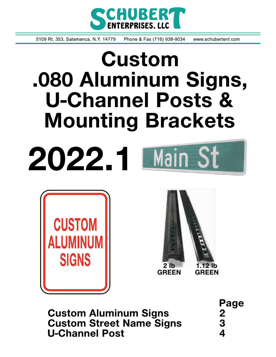

5109 Rt. 353, Salamanca, N.Y. 14779 Phone & Fax (716) 938-9034 www.schubertent.com

# **Custom** .080 Aluminum Signs, **U-Channel Posts & Mounting Brackets**







**Custom Aluminum Signs Custom Street Name Signs U-Channel Post** 

Page  $\frac{2}{4}$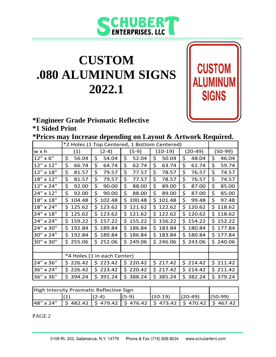

**CUSTOM** 

**SIGNS** 

### **CUSTOM .080 ALUMINUM SIGNS 2022.1**

#### **\*Engineer Grade Prismatic Reflective \*1 Sided Print**

**\*Prices may Increase depending on Layout & Artwork Required.**

|           | *2 Holes (1 Top Centered, 1 Bottom Centered) |              |              |              |               |           |  |
|-----------|----------------------------------------------|--------------|--------------|--------------|---------------|-----------|--|
| w x h     | $(2-4)$<br>(1)                               |              | (5-9)        | $(10-19)$    | $(20-49)$     | $(50-99)$ |  |
| 12" x 6"  | \$                                           | \$           | \$           | \$           | \$            | \$        |  |
|           | 56.04                                        | 54.04        | 52.04        | 50.04        | 48.04         | 46.04     |  |
| 12" x 12" | \$                                           | \$           | \$           | \$           | \$            | \$        |  |
|           | 66.74                                        | 64.74        | 62.74        | 63.74        | 61.74         | 59.74     |  |
| 12" x 18" | \$                                           | \$           | \$           | \$           | \$            | \$        |  |
|           | 81.57                                        | 79.57        | 77.57        | 78.57        | 76.57         | 74.57     |  |
| 18" x 12" | \$                                           | \$           | \$           | \$           | \$            | \$        |  |
|           | 81.57                                        | 79.57        | 77.57        | 78.57        | 76.57         | 74.57     |  |
| 12" x 24" | \$                                           | \$           | \$           | \$           | \$            | \$        |  |
|           | 92.00                                        | 90.00        | 88.00        | 89.00        | 87.00         | 85.00     |  |
| 24" x 12" | \$                                           | \$           | \$           | \$           | \$            | \$        |  |
|           | 92.00                                        | 90.00        | 88.00        | 89.00        | 87.00         | 85.00     |  |
| 18" x 18" | 104.48                                       | 102.48       | \$           | \$           | \$            | \$        |  |
|           | \$                                           | Ś.           | 100.48       | 101.48       | 99.48         | 97.48     |  |
| 18" x 24" | 125.62                                       | 123.62       | 121.62       | 122.62       | 120.62        | 118.62    |  |
|           | Ś.                                           | Ś.           | \$           | \$.          | Ś.            | \$        |  |
| 24" x 18" | \$                                           | \$.          | 121.62       | \$           | Ś.            | 118.62    |  |
|           | 125.62                                       | 123.62       | \$           | 122.62       | 120.62        | \$        |  |
| 24" x 24" | \$                                           | 157.22       | 155.22       | \$           | Ś.            | 152.22    |  |
|           | 159.22                                       | Ś.           | \$           | 156.22       | 154.22        | \$        |  |
| 24" x 30" | \$                                           | Ś.           | \$           | \$           | Ś.            | \$.       |  |
|           | 192.84                                       | 189.84       | 186.84       | 183.84       | 180.84        | 177.84    |  |
| 30" x 24" | \$<br>192.84                                 | Ś.<br>189.84 | Ś.<br>186.84 | \$<br>183.84 | Ś.<br>180.84  | \$177.84  |  |
| 30" x 30" | \$255.06                                     | Ś.<br>252.06 | \$<br>249.06 | \$<br>246.06 | \$.<br>243.06 | \$240.06  |  |
|           |                                              |              |              |              |               |           |  |
|           | *4 Holes (1 in each Center)                  |              |              |              |               |           |  |
| 24" x 36" | 226.42<br>S.                                 | 223.42<br>\$ | 220.42<br>\$ | 217.42<br>\$ | \$214.42      | \$211.42  |  |
| 36" x 24" | 226.42                                       | \$           | 220.42       | \$           | Ś.            | 211.42    |  |
|           | \$                                           | 223.42       | \$           | 217.42       | 214.42        | \$        |  |
| 36" x 36" | Ś<br>394.24                                  | \$<br>391.24 | \$<br>388.24 | \$<br>385.24 | \$<br>382.24  | \$379.24  |  |

| High Intersity Prasmatic Reflective Sign |                                                                                                                         |         |         |           |           |           |
|------------------------------------------|-------------------------------------------------------------------------------------------------------------------------|---------|---------|-----------|-----------|-----------|
|                                          |                                                                                                                         | $(2-4)$ | $(5-9)$ | $(10-19)$ | $(20-49)$ | $(50-99)$ |
| 48" x 24"                                | $\frac{1}{2}$ \$ 482.42 $\frac{1}{2}$ \$ 479.42 $\frac{1}{2}$ \$ 476.42 $\frac{1}{2}$ \$ 470.42 $\frac{1}{2}$ \$ 467.42 |         |         |           |           |           |

PAGE 2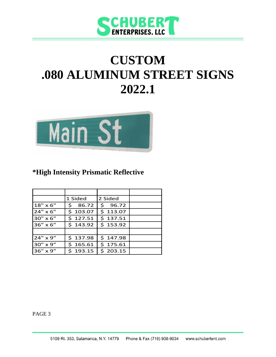

## **CUSTOM .080 ALUMINUM STREET SIGNS 2022.1**



### **\*High Intensity Prismatic Reflective**

|                 | 1 Sided      | 2 Sided  |  |
|-----------------|--------------|----------|--|
| $18" \times 6"$ | 86.72<br>Ś   | \$96.72  |  |
| 24" x 6"        | \$103.07     | \$113.07 |  |
| 30" x 6"        | \$127.51     | \$137.51 |  |
| 36" x 6"        | \$143.92     | \$153.92 |  |
|                 |              |          |  |
| 24" x 9"        | \$137.98     | \$147.98 |  |
| 30" x 9"        | 165.61<br>Ś. | \$175.61 |  |
| 36" x 9"        | \$193.15     | \$203.15 |  |

PAGE 3